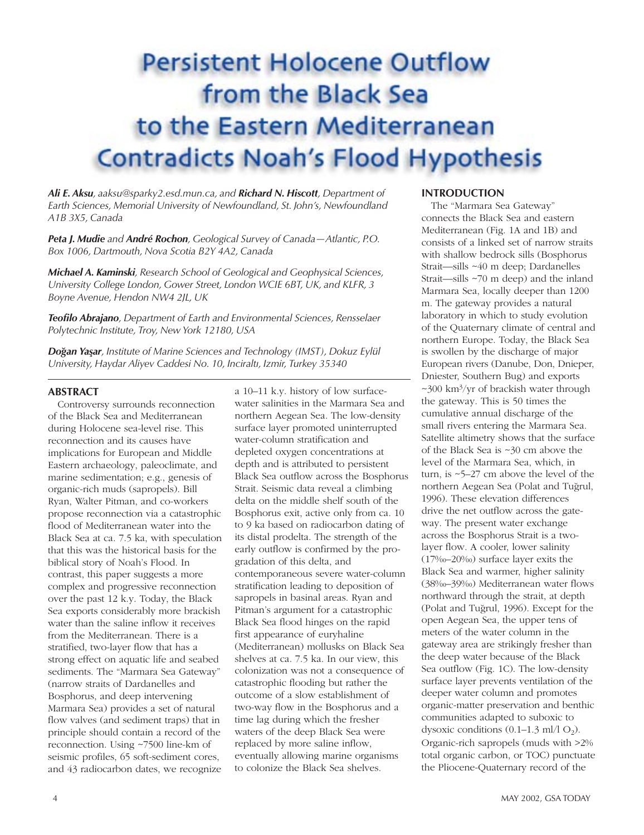## **Persistent Holocene Outflow** from the Black Sea to the Eastern Mediterranean **Contradicts Noah's Flood Hypothesis**

*Ali E. Aksu, aaksu@sparky2.esd.mun.ca, and Richard N. Hiscott, Department of Earth Sciences, Memorial University of Newfoundland, St. John's, Newfoundland A1B 3X5, Canada* 

*Peta J. Mudie and André Rochon, Geological Survey of Canada—Atlantic, P.O. Box 1006, Dartmouth, Nova Scotia B2Y 4A2, Canada*

*Michael A. Kaminski, Research School of Geological and Geophysical Sciences, University College London, Gower Street, London WCIE 6BT, UK, and KLFR, 3 Boyne Avenue, Hendon NW4 2JL, UK* 

*Teofilo Abrajano, Department of Earth and Environmental Sciences, Rensselaer Polytechnic Institute, Troy, New York 12180, USA* 

*Do˘gan Yas¸ar, Institute of Marine Sciences and Technology (IMST), Dokuz Eylül University, Haydar Aliyev Caddesi No. 10, Inciraltı, Izmir, Turkey 35340*

#### **ABSTRACT**

Controversy surrounds reconnection of the Black Sea and Mediterranean during Holocene sea-level rise. This reconnection and its causes have implications for European and Middle Eastern archaeology, paleoclimate, and marine sedimentation; e.g., genesis of organic-rich muds (sapropels). Bill Ryan, Walter Pitman, and co-workers propose reconnection via a catastrophic flood of Mediterranean water into the Black Sea at ca. 7.5 ka, with speculation that this was the historical basis for the biblical story of Noah's Flood. In contrast, this paper suggests a more complex and progressive reconnection over the past 12 k.y. Today, the Black Sea exports considerably more brackish water than the saline inflow it receives from the Mediterranean. There is a stratified, two-layer flow that has a strong effect on aquatic life and seabed sediments. The "Marmara Sea Gateway" (narrow straits of Dardanelles and Bosphorus, and deep intervening Marmara Sea) provides a set of natural flow valves (and sediment traps) that in principle should contain a record of the reconnection. Using ~7500 line-km of seismic profiles, 65 soft-sediment cores, and 43 radiocarbon dates, we recognize

a 10–11 k.y. history of low surfacewater salinities in the Marmara Sea and northern Aegean Sea. The low-density surface layer promoted uninterrupted water-column stratification and depleted oxygen concentrations at depth and is attributed to persistent Black Sea outflow across the Bosphorus Strait. Seismic data reveal a climbing delta on the middle shelf south of the Bosphorus exit, active only from ca. 10 to 9 ka based on radiocarbon dating of its distal prodelta. The strength of the early outflow is confirmed by the progradation of this delta, and contemporaneous severe water-column stratification leading to deposition of sapropels in basinal areas. Ryan and Pitman's argument for a catastrophic Black Sea flood hinges on the rapid first appearance of euryhaline (Mediterranean) mollusks on Black Sea shelves at ca. 7.5 ka. In our view, this colonization was not a consequence of catastrophic flooding but rather the outcome of a slow establishment of two-way flow in the Bosphorus and a time lag during which the fresher waters of the deep Black Sea were replaced by more saline inflow, eventually allowing marine organisms to colonize the Black Sea shelves.

#### **INTRODUCTION**

The "Marmara Sea Gateway" connects the Black Sea and eastern Mediterranean (Fig. 1A and 1B) and consists of a linked set of narrow straits with shallow bedrock sills (Bosphorus Strait—sills ~40 m deep; Dardanelles Strait—sills ~70 m deep) and the inland Marmara Sea, locally deeper than 1200 m. The gateway provides a natural laboratory in which to study evolution of the Quaternary climate of central and northern Europe. Today, the Black Sea is swollen by the discharge of major European rivers (Danube, Don, Dnieper, Dniester, Southern Bug) and exports  $\sim$ 300 km<sup>3</sup>/yr of brackish water through the gateway. This is 50 times the cumulative annual discharge of the small rivers entering the Marmara Sea. Satellite altimetry shows that the surface of the Black Sea is ~30 cm above the level of the Marmara Sea, which, in turn, is ~5–27 cm above the level of the northern Aegean Sea (Polat and Tuğrul, 1996). These elevation differences drive the net outflow across the gateway. The present water exchange across the Bosphorus Strait is a twolayer flow. A cooler, lower salinity (17‰–20‰) surface layer exits the Black Sea and warmer, higher salinity (38‰–39‰) Mediterranean water flows northward through the strait, at depth (Polat and Tuğrul, 1996). Except for the open Aegean Sea, the upper tens of meters of the water column in the gateway area are strikingly fresher than the deep water because of the Black Sea outflow (Fig. 1C). The low-density surface layer prevents ventilation of the deeper water column and promotes organic-matter preservation and benthic communities adapted to suboxic to dysoxic conditions  $(0.1–1.3 \text{ ml}/1 \text{ O}_2)$ . Organic-rich sapropels (muds with >2% total organic carbon, or TOC) punctuate the Pliocene-Quaternary record of the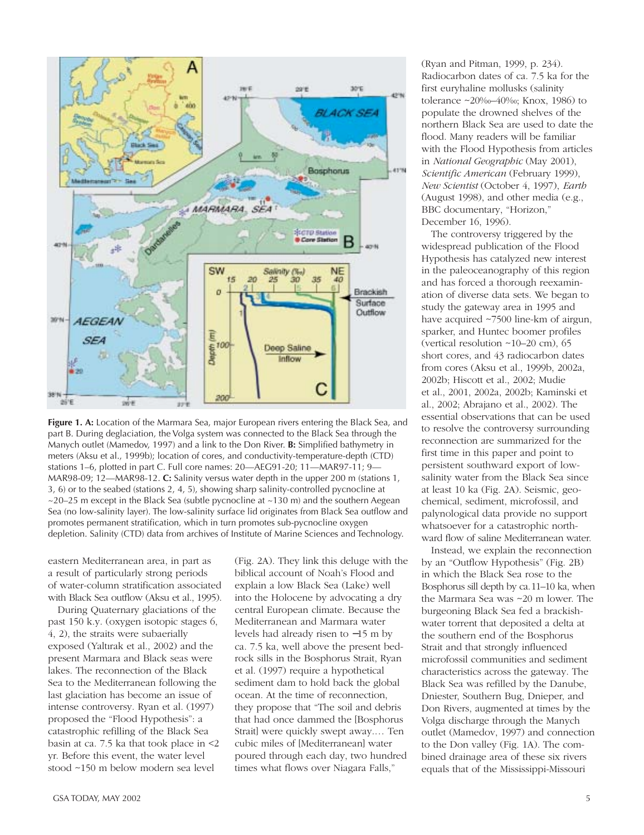

**Figure 1. A:** Location of the Marmara Sea, major European rivers entering the Black Sea, and part B. During deglaciation, the Volga system was connected to the Black Sea through the Manych outlet (Mamedov, 1997) and a link to the Don River. **B:** Simplified bathymetry in meters (Aksu et al., 1999b); location of cores, and conductivity-temperature-depth (CTD) stations 1–6, plotted in part C. Full core names: 20—AEG91-20; 11—MAR97-11; 9— MAR98-09; 12—MAR98-12. **C:** Salinity versus water depth in the upper 200 m (stations 1, 3, 6) or to the seabed (stations 2, 4, 5), showing sharp salinity-controlled pycnocline at  $\sim$ 20–25 m except in the Black Sea (subtle pycnocline at  $\sim$ 130 m) and the southern Aegean Sea (no low-salinity layer). The low-salinity surface lid originates from Black Sea outflow and promotes permanent stratification, which in turn promotes sub-pycnocline oxygen depletion. Salinity (CTD) data from archives of Institute of Marine Sciences and Technology.

eastern Mediterranean area, in part as a result of particularly strong periods of water-column stratification associated with Black Sea outflow (Aksu et al., 1995).

During Quaternary glaciations of the past 150 k.y. (oxygen isotopic stages 6, 4, 2), the straits were subaerially exposed (Yaltırak et al., 2002) and the present Marmara and Black seas were lakes. The reconnection of the Black Sea to the Mediterranean following the last glaciation has become an issue of intense controversy. Ryan et al. (1997) proposed the "Flood Hypothesis": a catastrophic refilling of the Black Sea basin at ca. 7.5 ka that took place in <2 yr. Before this event, the water level stood ~150 m below modern sea level

(Fig. 2A). They link this deluge with the biblical account of Noah's Flood and explain a low Black Sea (Lake) well into the Holocene by advocating a dry central European climate. Because the Mediterranean and Marmara water levels had already risen to −15 m by ca. 7.5 ka, well above the present bedrock sills in the Bosphorus Strait, Ryan et al. (1997) require a hypothetical sediment dam to hold back the global ocean. At the time of reconnection, they propose that "The soil and debris that had once dammed the [Bosphorus Strait] were quickly swept away.… Ten cubic miles of [Mediterranean] water poured through each day, two hundred times what flows over Niagara Falls,"

(Ryan and Pitman, 1999, p. 234). Radiocarbon dates of ca. 7.5 ka for the first euryhaline mollusks (salinity tolerance ~20‰–40‰; Knox, 1986) to populate the drowned shelves of the northern Black Sea are used to date the flood. Many readers will be familiar with the Flood Hypothesis from articles in *National Geographic* (May 2001), *Scientific American* (February 1999), *New Scientist* (October 4, 1997), *Earth* (August 1998), and other media (e.g., BBC documentary, "Horizon," December 16, 1996).

The controversy triggered by the widespread publication of the Flood Hypothesis has catalyzed new interest in the paleoceanography of this region and has forced a thorough reexamination of diverse data sets. We began to study the gateway area in 1995 and have acquired ~7500 line-km of airgun, sparker, and Huntec boomer profiles (vertical resolution ~10–20 cm), 65 short cores, and 43 radiocarbon dates from cores (Aksu et al., 1999b, 2002a, 2002b; Hiscott et al., 2002; Mudie et al., 2001, 2002a, 2002b; Kaminski et al., 2002; Abrajano et al., 2002). The essential observations that can be used to resolve the controversy surrounding reconnection are summarized for the first time in this paper and point to persistent southward export of lowsalinity water from the Black Sea since at least 10 ka (Fig. 2A). Seismic, geochemical, sediment, microfossil, and palynological data provide no support whatsoever for a catastrophic northward flow of saline Mediterranean water.

Instead, we explain the reconnection by an "Outflow Hypothesis" (Fig. 2B) in which the Black Sea rose to the Bosphorus sill depth by ca.11–10 ka, when the Marmara Sea was ~20 m lower. The burgeoning Black Sea fed a brackishwater torrent that deposited a delta at the southern end of the Bosphorus Strait and that strongly influenced microfossil communities and sediment characteristics across the gateway. The Black Sea was refilled by the Danube, Dniester, Southern Bug, Dnieper, and Don Rivers, augmented at times by the Volga discharge through the Manych outlet (Mamedov, 1997) and connection to the Don valley (Fig. 1A). The combined drainage area of these six rivers equals that of the Mississippi-Missouri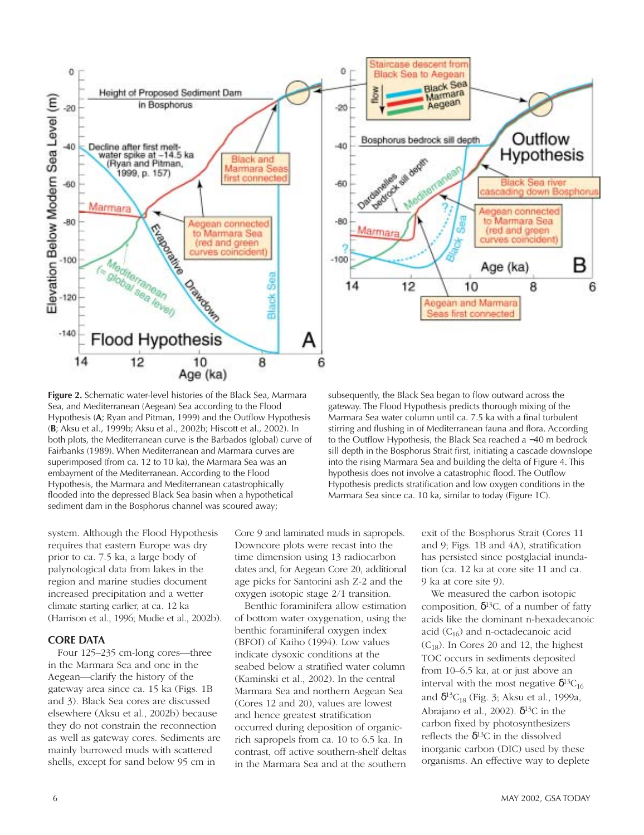

**Figure 2.** Schematic water-level histories of the Black Sea, Marmara Sea, and Mediterranean (Aegean) Sea according to the Flood Hypothesis (**A**; Ryan and Pitman, 1999) and the Outflow Hypothesis (**B**; Aksu et al., 1999b; Aksu et al., 2002b; Hiscott et al., 2002). In both plots, the Mediterranean curve is the Barbados (global) curve of Fairbanks (1989). When Mediterranean and Marmara curves are superimposed (from ca. 12 to 10 ka), the Marmara Sea was an embayment of the Mediterranean. According to the Flood Hypothesis, the Marmara and Mediterranean catastrophically flooded into the depressed Black Sea basin when a hypothetical sediment dam in the Bosphorus channel was scoured away;

system. Although the Flood Hypothesis requires that eastern Europe was dry prior to ca. 7.5 ka, a large body of palynological data from lakes in the region and marine studies document increased precipitation and a wetter climate starting earlier, at ca. 12 ka (Harrison et al., 1996; Mudie et al., 2002b).

#### **CORE DATA**

Four 125–235 cm-long cores—three in the Marmara Sea and one in the Aegean—clarify the history of the gateway area since ca. 15 ka (Figs. 1B and 3). Black Sea cores are discussed elsewhere (Aksu et al., 2002b) because they do not constrain the reconnection as well as gateway cores. Sediments are mainly burrowed muds with scattered shells, except for sand below 95 cm in

Core 9 and laminated muds in sapropels. Downcore plots were recast into the time dimension using 13 radiocarbon dates and, for Aegean Core 20, additional age picks for Santorini ash Z-2 and the oxygen isotopic stage 2/1 transition.

Benthic foraminifera allow estimation of bottom water oxygenation, using the benthic foraminiferal oxygen index (BFOI) of Kaiho (1994). Low values indicate dysoxic conditions at the seabed below a stratified water column (Kaminski et al., 2002). In the central Marmara Sea and northern Aegean Sea (Cores 12 and 20), values are lowest and hence greatest stratification occurred during deposition of organicrich sapropels from ca. 10 to 6.5 ka. In contrast, off active southern-shelf deltas in the Marmara Sea and at the southern

subsequently, the Black Sea began to flow outward across the gateway. The Flood Hypothesis predicts thorough mixing of the Marmara Sea water column until ca. 7.5 ka with a final turbulent stirring and flushing in of Mediterranean fauna and flora. According to the Outflow Hypothesis, the Black Sea reached a −40 m bedrock sill depth in the Bosphorus Strait first, initiating a cascade downslope into the rising Marmara Sea and building the delta of Figure 4. This hypothesis does not involve a catastrophic flood. The Outflow Hypothesis predicts stratification and low oxygen conditions in the Marmara Sea since ca. 10 ka, similar to today (Figure 1C).

> exit of the Bosphorus Strait (Cores 11 and 9; Figs. 1B and 4A), stratification has persisted since postglacial inundation (ca. 12 ka at core site 11 and ca. 9 ka at core site 9).

We measured the carbon isotopic composition,  $\delta^{13}$ C, of a number of fatty acids like the dominant n-hexadecanoic acid  $(C_{16})$  and n-octadecanoic acid  $(C_{18})$ . In Cores 20 and 12, the highest TOC occurs in sediments deposited from 10–6.5 ka, at or just above an interval with the most negative  $\delta^{13}C_{16}$ and  $\delta^{13}C_{18}$  (Fig. 3; Aksu et al., 1999a, Abrajano et al., 2002).  $\delta^{13}$ C in the carbon fixed by photosynthesizers reflects the  $\delta^{13}$ C in the dissolved inorganic carbon (DIC) used by these organisms. An effective way to deplete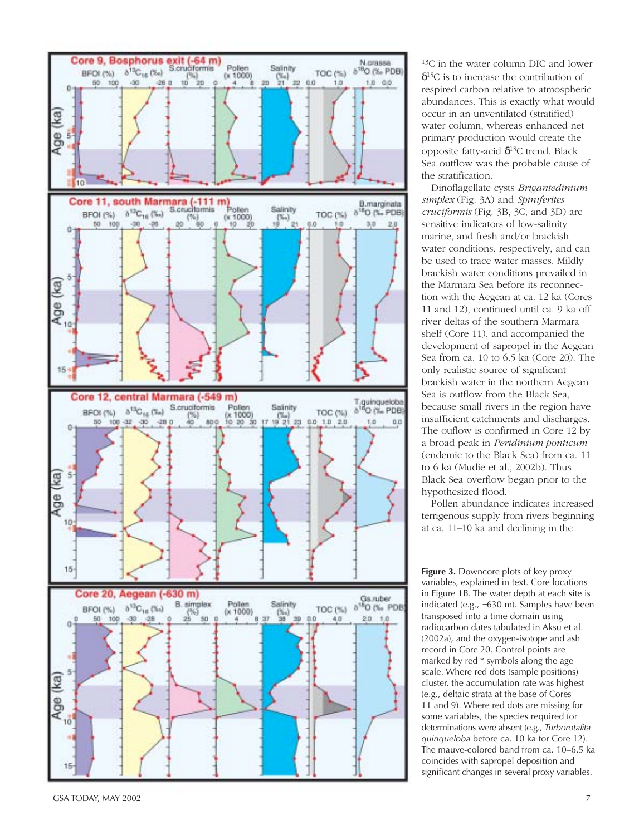

13C in the water column DIC and lower  $\delta^{13}$ C is to increase the contribution of respired carbon relative to atmospheric abundances. This is exactly what would occur in an unventilated (stratified) water column, whereas enhanced net primary production would create the opposite fatty-acid  $\delta^{13}$ C trend. Black Sea outflow was the probable cause of the stratification.

Dinoflagellate cysts *Brigantedinium simplex* (Fig. 3A) and *Spiniferites cruciformis* (Fig. 3B, 3C, and 3D) are sensitive indicators of low-salinity marine, and fresh and/or brackish water conditions, respectively, and can be used to trace water masses. Mildly brackish water conditions prevailed in the Marmara Sea before its reconnection with the Aegean at ca. 12 ka (Cores 11 and 12), continued until ca. 9 ka off river deltas of the southern Marmara shelf (Core 11), and accompanied the development of sapropel in the Aegean Sea from ca. 10 to 6.5 ka (Core 20). The only realistic source of significant brackish water in the northern Aegean Sea is outflow from the Black Sea, because small rivers in the region have insufficient catchments and discharges. The ouflow is confirmed in Core 12 by a broad peak in *Peridinium ponticum* (endemic to the Black Sea) from ca. 11 to 6 ka (Mudie et al., 2002b). Thus Black Sea overflow began prior to the hypothesized flood.

Pollen abundance indicates increased terrigenous supply from rivers beginning at ca. 11–10 ka and declining in the

**Figure 3.** Downcore plots of key proxy variables, explained in text. Core locations in Figure 1B. The water depth at each site is indicated (e.g., −630 m). Samples have been transposed into a time domain using radiocarbon dates tabulated in Aksu et al. (2002a), and the oxygen-isotope and ash record in Core 20. Control points are marked by red \* symbols along the age scale. Where red dots (sample positions) cluster, the accumulation rate was highest (e.g., deltaic strata at the base of Cores 11 and 9). Where red dots are missing for some variables, the species required for determinations were absent (e.g., *Turborotalita* The mauve-colored band from ca. 10–6.5 ka coincides with sapropel deposition and significant changes in several proxy variables.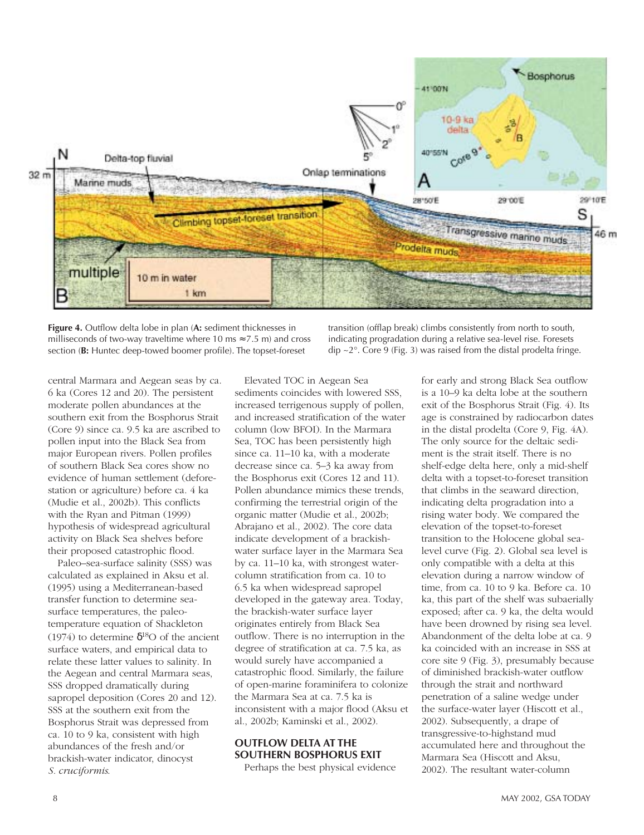

**Figure 4.** Outflow delta lobe in plan (**A:** sediment thicknesses in milliseconds of two-way traveltime where 10 ms  $\approx$  7.5 m) and cross section (**B:** Huntec deep-towed boomer profile). The topset-foreset

central Marmara and Aegean seas by ca. 6 ka (Cores 12 and 20). The persistent moderate pollen abundances at the southern exit from the Bosphorus Strait (Core 9) since ca. 9.5 ka are ascribed to pollen input into the Black Sea from major European rivers. Pollen profiles of southern Black Sea cores show no evidence of human settlement (deforestation or agriculture) before ca. 4 ka (Mudie et al., 2002b). This conflicts with the Ryan and Pitman (1999) hypothesis of widespread agricultural activity on Black Sea shelves before their proposed catastrophic flood.

Paleo–sea-surface salinity (SSS) was calculated as explained in Aksu et al. (1995) using a Mediterranean-based transfer function to determine seasurface temperatures, the paleotemperature equation of Shackleton (1974) to determine  $\delta^{18}$ O of the ancient surface waters, and empirical data to relate these latter values to salinity. In the Aegean and central Marmara seas, SSS dropped dramatically during sapropel deposition (Cores 20 and 12). SSS at the southern exit from the Bosphorus Strait was depressed from ca. 10 to 9 ka, consistent with high abundances of the fresh and/or brackish-water indicator, dinocyst *S. cruciformis*.

Elevated TOC in Aegean Sea sediments coincides with lowered SSS, increased terrigenous supply of pollen, and increased stratification of the water column (low BFOI). In the Marmara Sea, TOC has been persistently high since ca. 11–10 ka, with a moderate decrease since ca. 5–3 ka away from the Bosphorus exit (Cores 12 and 11). Pollen abundance mimics these trends, confirming the terrestrial origin of the organic matter (Mudie et al., 2002b; Abrajano et al., 2002). The core data indicate development of a brackishwater surface layer in the Marmara Sea by ca. 11–10 ka, with strongest watercolumn stratification from ca. 10 to 6.5 ka when widespread sapropel developed in the gateway area. Today, the brackish-water surface layer originates entirely from Black Sea outflow. There is no interruption in the degree of stratification at ca. 7.5 ka, as would surely have accompanied a catastrophic flood. Similarly, the failure of open-marine foraminifera to colonize the Marmara Sea at ca. 7.5 ka is inconsistent with a major flood (Aksu et al., 2002b; Kaminski et al., 2002).

#### **OUTFLOW DELTA AT THE SOUTHERN BOSPHORUS EXIT**

Perhaps the best physical evidence

transition (offlap break) climbs consistently from north to south, indicating progradation during a relative sea-level rise. Foresets  $\text{dip } \sim 2^{\circ}$ . Core 9 (Fig. 3) was raised from the distal prodelta fringe.

> for early and strong Black Sea outflow is a 10–9 ka delta lobe at the southern exit of the Bosphorus Strait (Fig. 4). Its age is constrained by radiocarbon dates in the distal prodelta (Core 9, Fig. 4A). The only source for the deltaic sediment is the strait itself. There is no shelf-edge delta here, only a mid-shelf delta with a topset-to-foreset transition that climbs in the seaward direction, indicating delta progradation into a rising water body. We compared the elevation of the topset-to-foreset transition to the Holocene global sealevel curve (Fig. 2). Global sea level is only compatible with a delta at this elevation during a narrow window of time, from ca. 10 to 9 ka. Before ca. 10 ka, this part of the shelf was subaerially exposed; after ca. 9 ka, the delta would have been drowned by rising sea level. Abandonment of the delta lobe at ca. 9 ka coincided with an increase in SSS at core site 9 (Fig. 3), presumably because of diminished brackish-water outflow through the strait and northward penetration of a saline wedge under the surface-water layer (Hiscott et al., 2002). Subsequently, a drape of transgressive-to-highstand mud accumulated here and throughout the Marmara Sea (Hiscott and Aksu, 2002). The resultant water-column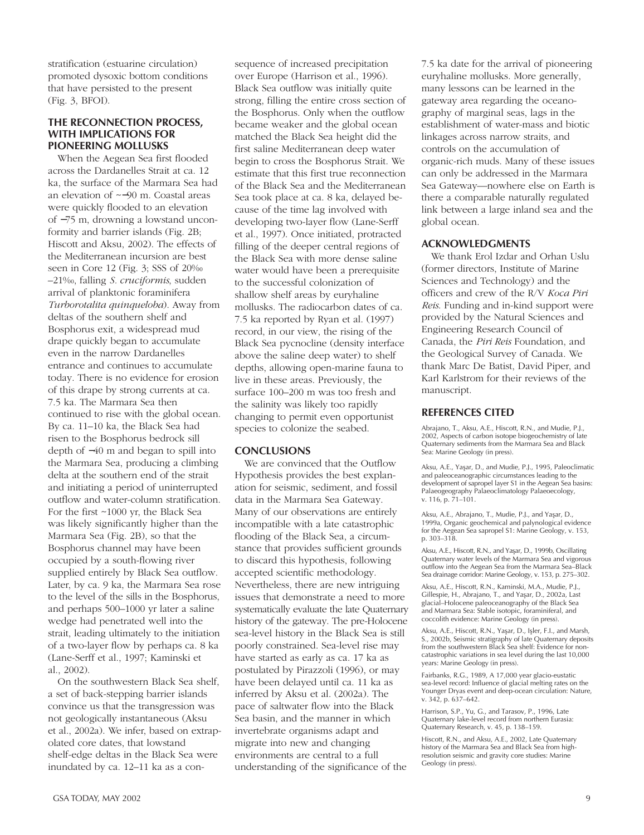stratification (estuarine circulation) promoted dysoxic bottom conditions that have persisted to the present (Fig. 3, BFOI).

#### **THE RECONNECTION PROCESS, WITH IMPLICATIONS FOR PIONEERING MOLLUSKS**

When the Aegean Sea first flooded across the Dardanelles Strait at ca. 12 ka, the surface of the Marmara Sea had an elevation of ~−90 m. Coastal areas were quickly flooded to an elevation of −75 m, drowning a lowstand unconformity and barrier islands (Fig. 2B; Hiscott and Aksu, 2002). The effects of the Mediterranean incursion are best seen in Core 12 (Fig. 3; SSS of 20‰ –21‰, falling *S. cruciformis*, sudden arrival of planktonic foraminifera *Turborotalita quinqueloba*). Away from deltas of the southern shelf and Bosphorus exit, a widespread mud drape quickly began to accumulate even in the narrow Dardanelles entrance and continues to accumulate today. There is no evidence for erosion of this drape by strong currents at ca. 7.5 ka. The Marmara Sea then continued to rise with the global ocean. By ca. 11–10 ka, the Black Sea had risen to the Bosphorus bedrock sill depth of −40 m and began to spill into the Marmara Sea, producing a climbing delta at the southern end of the strait and initiating a period of uninterrupted outflow and water-column stratification. For the first ~1000 yr, the Black Sea was likely significantly higher than the Marmara Sea (Fig. 2B), so that the Bosphorus channel may have been occupied by a south-flowing river supplied entirely by Black Sea outflow. Later, by ca. 9 ka, the Marmara Sea rose to the level of the sills in the Bosphorus, and perhaps 500–1000 yr later a saline wedge had penetrated well into the strait, leading ultimately to the initiation of a two-layer flow by perhaps ca. 8 ka (Lane-Serff et al., 1997; Kaminski et al., 2002).

On the southwestern Black Sea shelf, a set of back-stepping barrier islands convince us that the transgression was not geologically instantaneous (Aksu et al., 2002a). We infer, based on extrapolated core dates, that lowstand shelf-edge deltas in the Black Sea were inundated by ca. 12–11 ka as a consequence of increased precipitation over Europe (Harrison et al., 1996). Black Sea outflow was initially quite strong, filling the entire cross section of the Bosphorus. Only when the outflow became weaker and the global ocean matched the Black Sea height did the first saline Mediterranean deep water begin to cross the Bosphorus Strait. We estimate that this first true reconnection of the Black Sea and the Mediterranean Sea took place at ca. 8 ka, delayed because of the time lag involved with developing two-layer flow (Lane-Serff et al., 1997). Once initiated, protracted filling of the deeper central regions of the Black Sea with more dense saline water would have been a prerequisite to the successful colonization of shallow shelf areas by euryhaline mollusks. The radiocarbon dates of ca. 7.5 ka reported by Ryan et al. (1997) record, in our view, the rising of the Black Sea pycnocline (density interface above the saline deep water) to shelf depths, allowing open-marine fauna to live in these areas. Previously, the surface 100–200 m was too fresh and the salinity was likely too rapidly changing to permit even opportunist species to colonize the seabed.

#### **CONCLUSIONS**

We are convinced that the Outflow Hypothesis provides the best explanation for seismic, sediment, and fossil data in the Marmara Sea Gateway. Many of our observations are entirely incompatible with a late catastrophic flooding of the Black Sea, a circumstance that provides sufficient grounds to discard this hypothesis, following accepted scientific methodology. Nevertheless, there are new intriguing issues that demonstrate a need to more systematically evaluate the late Quaternary history of the gateway. The pre-Holocene sea-level history in the Black Sea is still poorly constrained. Sea-level rise may have started as early as ca. 17 ka as postulated by Pirazzoli (1996), or may have been delayed until ca. 11 ka as inferred by Aksu et al. (2002a). The pace of saltwater flow into the Black Sea basin, and the manner in which invertebrate organisms adapt and migrate into new and changing environments are central to a full understanding of the significance of the

7.5 ka date for the arrival of pioneering euryhaline mollusks. More generally, many lessons can be learned in the gateway area regarding the oceanography of marginal seas, lags in the establishment of water-mass and biotic linkages across narrow straits, and controls on the accumulation of organic-rich muds. Many of these issues can only be addressed in the Marmara Sea Gateway—nowhere else on Earth is there a comparable naturally regulated link between a large inland sea and the global ocean.

#### **ACKNOWLEDGMENTS**

We thank Erol Izdar and Orhan Uslu (former directors, Institute of Marine Sciences and Technology) and the officers and crew of the R/V *Koca Piri Reis*. Funding and in-kind support were provided by the Natural Sciences and Engineering Research Council of Canada, the *Piri Reis* Foundation, and the Geological Survey of Canada. We thank Marc De Batist, David Piper, and Karl Karlstrom for their reviews of the manuscript.

#### **REFERENCES CITED**

Abrajano, T., Aksu, A.E., Hiscott, R.N., and Mudie, P.J., 2002, Aspects of carbon isotope biogeochemistry of late Quaternary sediments from the Marmara Sea and Black Sea: Marine Geology (in press).

Aksu, A.E., Yaşar, D., and Mudie, P.J., 1995, Paleoclimatic and paleoceanographic circumstances leading to the development of sapropel layer S1 in the Aegean Sea basins: Palaeogeography Palaeoclimatology Palaeoecology, v. 116, p. 71–101.

Aksu, A.E., Abrajano, T., Mudie, P.J., and Yaşar, D., 1999a, Organic geochemical and palynological evidence for the Aegean Sea sapropel S1: Marine Geology, v. 153, p. 303–318.

Aksu, A.E., Hiscott, R.N., and Yaşar, D., 1999b, Oscillating Quaternary water levels of the Marmara Sea and vigorous outflow into the Aegean Sea from the Marmara Sea–Black Sea drainage corridor: Marine Geology, v. 153, p. 275–302.

Aksu, A.E., Hiscott, R.N., Kaminski, M.A., Mudie, P.J., Gillespie, H., Abrajano, T., and Yaşar, D., 2002a, Last glacial–Holocene paleoceanography of the Black Sea and Marmara Sea: Stable isotopic, foraminiferal, and coccolith evidence: Marine Geology (in press).

Aksu, A.E., Hiscott, R.N., Yaşar, D., Işler, F.I., and Marsh, S., 2002b, Seismic stratigraphy of late Quaternary deposits from the southwestern Black Sea shelf: Evidence for noncatastrophic variations in sea level during the last 10,000 years: Marine Geology (in press).

Fairbanks, R.G., 1989, A 17,000 year glacio-eustatic sea-level record: Influence of glacial melting rates on the Younger Dryas event and deep-ocean circulation: Nature, v. 342, p. 637–642.

Harrison, S.P., Yu, G., and Tarasov, P., 1996, Late Quaternary lake-level record from northern Eurasia: Quaternary Research, v. 45, p. 138–159.

Hiscott, R.N., and Aksu, A.E., 2002, Late Quaternary history of the Marmara Sea and Black Sea from highresolution seismic and gravity core studies: Marine Geology (in press).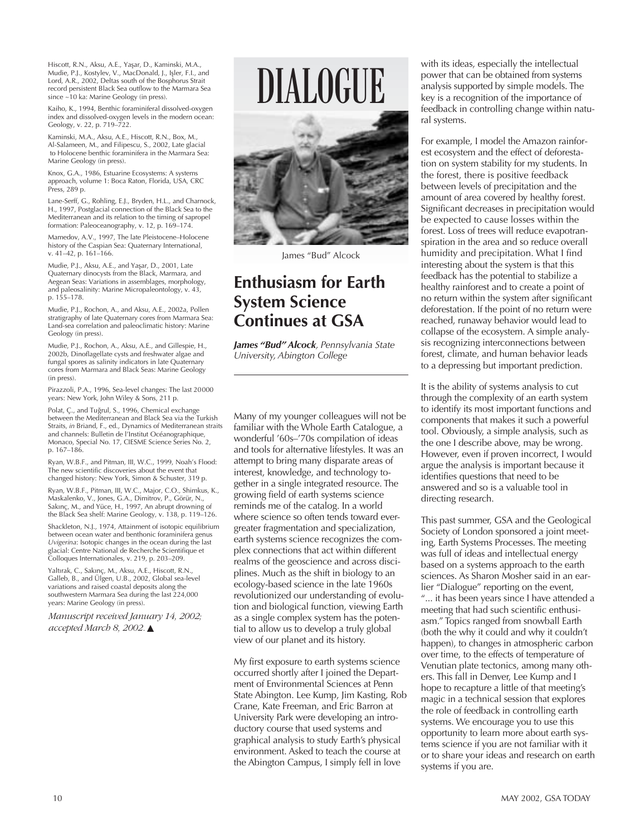Hiscott, R.N., Aksu, A.E., Yaşar, D., Kaminski, M.A., Mudie, P.J., Kostylev, V., MacDonald, J., Işler, F.I., and Lord, A.R., 2002, Deltas south of the Bosphorus Strait record persistent Black Sea outflow to the Marmara Sea since ~10 ka: Marine Geology (in press).

Kaiho, K., 1994, Benthic foraminiferal dissolved-oxygen index and dissolved-oxygen levels in the modern ocean: Geology, v. 22, p. 719–722.

Kaminski, M.A., Aksu, A.E., Hiscott, R.N., Box, M., Al-Salameen, M., and Filipescu, S., 2002, Late glacial to Holocene benthic foraminifera in the Marmara Sea: Marine Geology (in press).

Knox, G.A., 1986, Estuarine Ecosystems: A systems approach, volume 1: Boca Raton, Florida, USA, CRC Press, 289 p.

Lane-Serff, G., Rohling, E.J., Bryden, H.L., and Charnock, H., 1997, Postglacial connection of the Black Sea to the Mediterranean and its relation to the timing of sapropel formation: Paleoceanography, v. 12, p. 169–174.

Mamedov, A.V., 1997, The late Pleistocene–Holocene history of the Caspian Sea: Quaternary International, v. 41–42, p. 161–166.

Mudie, P.J., Aksu, A.E., and Yaşar, D., 2001, Late Quaternary dinocysts from the Black, Marmara, and Aegean Seas: Variations in assemblages, morphology, and paleosalinity: Marine Micropaleontology, v. 43, p. 155–178.

Mudie, P.J., Rochon, A., and Aksu, A.E., 2002a, Pollen stratigraphy of late Quaternary cores from Marmara Sea: Land-sea correlation and paleoclimatic history: Marine Geology (in press).

Mudie, P.J., Rochon, A., Aksu, A.E., and Gillespie, H., 2002b, Dinoflagellate cysts and freshwater algae and fungal spores as salinity indicators in late Quaternary cores from Marmara and Black Seas: Marine Geology (in press).

Pirazzoli, P.A., 1996, Sea-level changes: The last 20000 years: New York, John Wiley & Sons, 211 p.

Polat, Ç., and Tuğrul, S., 1996, Chemical exchange between the Mediterranean and Black Sea via the Turkish Straits, *in* Briand, F., ed., Dynamics of Mediterranean straits and channels: Bulletin de l'Institut Océanographique, Monaco, Special No. 17, CIESME Science Series No. 2, p. 167–186.

Ryan, W.B.F., and Pitman, III, W.C., 1999, Noah's Flood: The new scientific discoveries about the event that changed history: New York, Simon & Schuster, 319 p.

Ryan, W.B.F., Pitman, III, W.C., Major, C.O., Shimkus, K., Maskalenko, V., Jones, G.A., Dimitrov, P., Görür, N., Sakınç, M., and Yüce, H., 1997, An abrupt drowning of the Black Sea shelf: Marine Geology, v. 138, p. 119–126.

Shackleton, N.J., 1974, Attainment of isotopic equilibrium between ocean water and benthonic foraminifera genus *Uvigerina*: Isotopic changes in the ocean during the last glacial: Centre National de Recherche Scientifique et Colloques Internationales, v. 219, p. 203–209.

Yaltırak, C., Sakınç, M., Aksu, A.E., Hiscott, R.N., Galleb, B., and Ülgen, U.B., 2002, Global sea-level variations and raised coastal deposits along the southwestern Marmara Sea during the last 224,000 years: Marine Geology (in press).

*Manuscript received January 14, 2002; accepted March 8, 2002.* ▲

# DIALOGUE



James "Bud" Alcock

### **Enthusiasm for Earth System Science Continues at GSA**

*James "Bud" Alcock, Pennsylvania State University, Abington College*

Many of my younger colleagues will not be familiar with the Whole Earth Catalogue, a wonderful '60s–'70s compilation of ideas and tools for alternative lifestyles. It was an attempt to bring many disparate areas of interest, knowledge, and technology together in a single integrated resource. The growing field of earth systems science reminds me of the catalog. In a world where science so often tends toward evergreater fragmentation and specialization, earth systems science recognizes the complex connections that act within different realms of the geoscience and across disciplines. Much as the shift in biology to an ecology-based science in the late 1960s revolutionized our understanding of evolution and biological function, viewing Earth as a single complex system has the potential to allow us to develop a truly global view of our planet and its history.

My first exposure to earth systems science occurred shortly after I joined the Department of Environmental Sciences at Penn State Abington. Lee Kump, Jim Kasting, Rob Crane, Kate Freeman, and Eric Barron at University Park were developing an introductory course that used systems and graphical analysis to study Earth's physical environment. Asked to teach the course at the Abington Campus, I simply fell in love

with its ideas, especially the intellectual power that can be obtained from systems analysis supported by simple models. The key is a recognition of the importance of feedback in controlling change within natural systems.

For example, I model the Amazon rainforest ecosystem and the effect of deforestation on system stability for my students. In the forest, there is positive feedback between levels of precipitation and the amount of area covered by healthy forest. Significant decreases in precipitation would be expected to cause losses within the forest. Loss of trees will reduce evapotranspiration in the area and so reduce overall humidity and precipitation. What I find interesting about the system is that this feedback has the potential to stabilize a healthy rainforest and to create a point of no return within the system after significant deforestation. If the point of no return were reached, runaway behavior would lead to collapse of the ecosystem. A simple analysis recognizing interconnections between forest, climate, and human behavior leads to a depressing but important prediction.

It is the ability of systems analysis to cut through the complexity of an earth system to identify its most important functions and components that makes it such a powerful tool. Obviously, a simple analysis, such as the one I describe above, may be wrong. However, even if proven incorrect, I would argue the analysis is important because it identifies questions that need to be answered and so is a valuable tool in directing research.

This past summer, GSA and the Geological Society of London sponsored a joint meeting, Earth Systems Processes. The meeting was full of ideas and intellectual energy based on a systems approach to the earth sciences. As Sharon Mosher said in an earlier "Dialogue" reporting on the event, "... it has been years since I have attended a meeting that had such scientific enthusiasm." Topics ranged from snowball Earth (both the why it could and why it couldn't happen), to changes in atmospheric carbon over time, to the effects of temperature of Venutian plate tectonics, among many others. This fall in Denver, Lee Kump and I hope to recapture a little of that meeting's magic in a technical session that explores the role of feedback in controlling earth systems. We encourage you to use this opportunity to learn more about earth systems science if you are not familiar with it or to share your ideas and research on earth systems if you are.